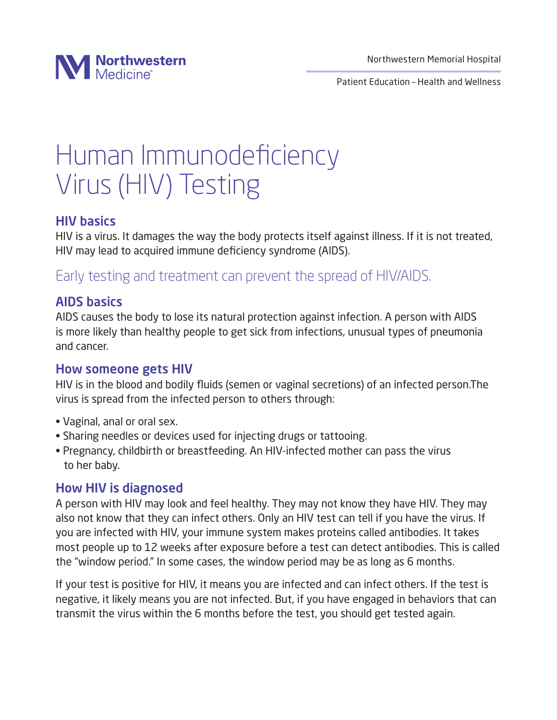

Patient Education – Health and Wellness

# Human Immunodeficiency Virus (HIV) Testing

## HIV basics

HIV is a virus. It damages the way the body protects itself against illness. If it is not treated, HIV may lead to acquired immune deficiency syndrome (AIDS).

# Early testing and treatment can prevent the spread of HIV/AIDS.

## AIDS basics

AIDS causes the body to lose its natural protection against infection. A person with AIDS is more likely than healthy people to get sick from infections, unusual types of pneumonia and cancer.

#### How someone gets HIV

HIV is in the blood and bodily fluids (semen or vaginal secretions) of an infected person.The virus is spread from the infected person to others through:

- Vaginal, anal or oral sex.
- Sharing needles or devices used for injecting drugs or tattooing.
- Pregnancy, childbirth or breastfeeding. An HIV-infected mother can pass the virus to her baby.

#### How HIV is diagnosed

A person with HIV may look and feel healthy. They may not know they have HIV. They may also not know that they can infect others. Only an HIV test can tell if you have the virus. If you are infected with HIV, your immune system makes proteins called antibodies. It takes most people up to 12 weeks after exposure before a test can detect antibodies. This is called the "window period." In some cases, the window period may be as long as 6 months.

If your test is positive for HIV, it means you are infected and can infect others. If the test is negative, it likely means you are not infected. But, if you have engaged in behaviors that can transmit the virus within the 6 months before the test, you should get tested again.